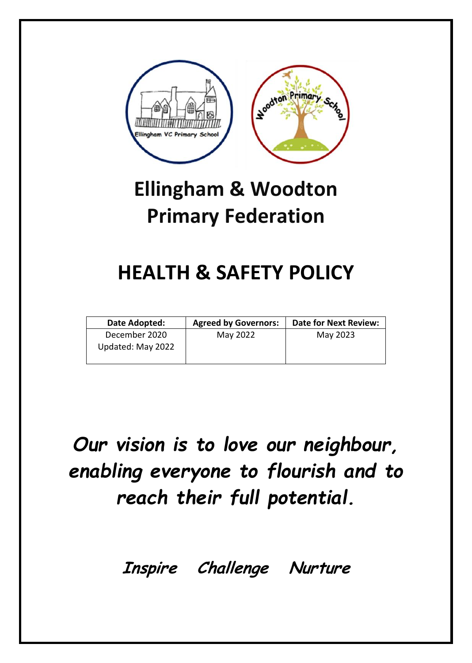

# **Ellingham & Woodton Primary Federation**

## **HEALTH & SAFETY POLICY**

| Date Adopted:                      | <b>Agreed by Governors:</b> | <b>Date for Next Review:</b> |
|------------------------------------|-----------------------------|------------------------------|
| December 2020<br>Updated: May 2022 | May 2022                    | May 2023                     |

# *Our vision is to love our neighbour, enabling everyone to flourish and to reach their full potential.*

**Inspire Challenge Nurture**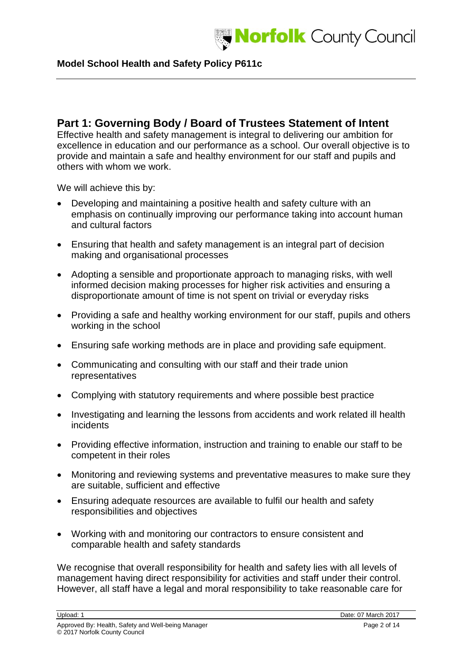

## **Part 1: Governing Body / Board of Trustees Statement of Intent**

Effective health and safety management is integral to delivering our ambition for excellence in education and our performance as a school. Our overall objective is to provide and maintain a safe and healthy environment for our staff and pupils and others with whom we work.

We will achieve this by:

- Developing and maintaining a positive health and safety culture with an emphasis on continually improving our performance taking into account human and cultural factors
- Ensuring that health and safety management is an integral part of decision making and organisational processes
- Adopting a sensible and proportionate approach to managing risks, with well informed decision making processes for higher risk activities and ensuring a disproportionate amount of time is not spent on trivial or everyday risks
- Providing a safe and healthy working environment for our staff, pupils and others working in the school
- Ensuring safe working methods are in place and providing safe equipment.
- Communicating and consulting with our staff and their trade union representatives
- Complying with statutory requirements and where possible best practice
- Investigating and learning the lessons from accidents and work related ill health incidents
- Providing effective information, instruction and training to enable our staff to be competent in their roles
- Monitoring and reviewing systems and preventative measures to make sure they are suitable, sufficient and effective
- Ensuring adequate resources are available to fulfil our health and safety responsibilities and objectives
- Working with and monitoring our contractors to ensure consistent and comparable health and safety standards

We recognise that overall responsibility for health and safety lies with all levels of management having direct responsibility for activities and staff under their control. However, all staff have a legal and moral responsibility to take reasonable care for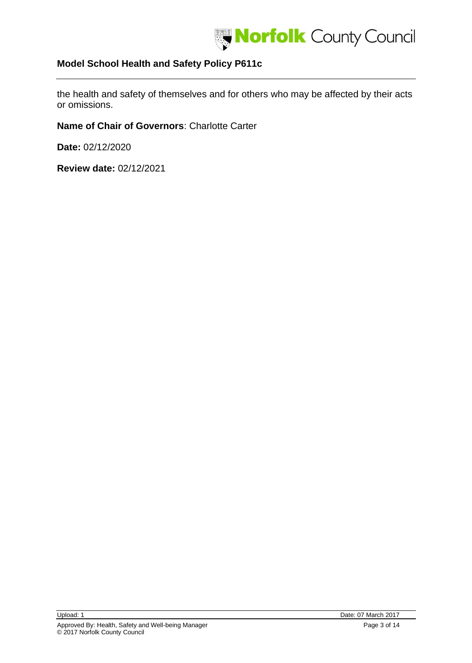

the health and safety of themselves and for others who may be affected by their acts or omissions.

**Name of Chair of Governors**: Charlotte Carter

**Date:** 02/12/2020

**Review date:** 02/12/2021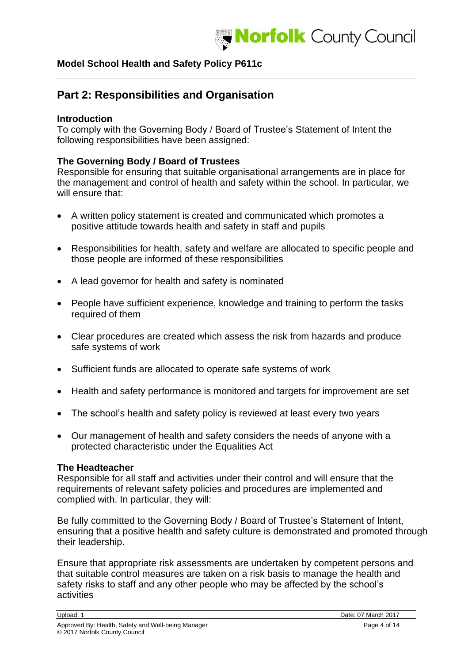

## **Part 2: Responsibilities and Organisation**

## **Introduction**

To comply with the Governing Body / Board of Trustee's Statement of Intent the following responsibilities have been assigned:

## **The Governing Body / Board of Trustees**

Responsible for ensuring that suitable organisational arrangements are in place for the management and control of health and safety within the school. In particular, we will ensure that:

- A written policy statement is created and communicated which promotes a positive attitude towards health and safety in staff and pupils
- Responsibilities for health, safety and welfare are allocated to specific people and those people are informed of these responsibilities
- A lead governor for health and safety is nominated
- People have sufficient experience, knowledge and training to perform the tasks required of them
- Clear procedures are created which assess the risk from hazards and produce safe systems of work
- Sufficient funds are allocated to operate safe systems of work
- Health and safety performance is monitored and targets for improvement are set
- The school's health and safety policy is reviewed at least every two years
- Our management of health and safety considers the needs of anyone with a protected characteristic under the Equalities Act

#### **The Headteacher**

Responsible for all staff and activities under their control and will ensure that the requirements of relevant safety policies and procedures are implemented and complied with. In particular, they will:

Be fully committed to the Governing Body / Board of Trustee's Statement of Intent, ensuring that a positive health and safety culture is demonstrated and promoted through their leadership.

Ensure that appropriate risk assessments are undertaken by competent persons and that suitable control measures are taken on a risk basis to manage the health and safety risks to staff and any other people who may be affected by the school's activities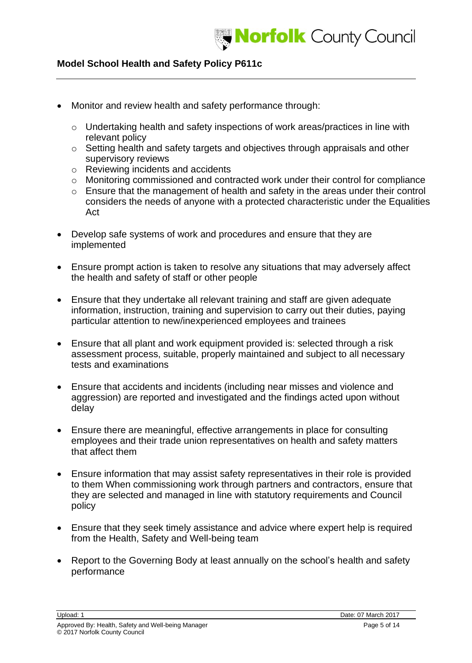

- Monitor and review health and safety performance through:
	- o Undertaking health and safety inspections of work areas/practices in line with relevant policy
	- o Setting health and safety targets and objectives through appraisals and other supervisory reviews
	- o Reviewing incidents and accidents
	- o Monitoring commissioned and contracted work under their control for compliance
	- o Ensure that the management of health and safety in the areas under their control considers the needs of anyone with a protected characteristic under the Equalities Act
- Develop safe systems of work and procedures and ensure that they are implemented
- Ensure prompt action is taken to resolve any situations that may adversely affect the health and safety of staff or other people
- Ensure that they undertake all relevant training and staff are given adequate information, instruction, training and supervision to carry out their duties, paying particular attention to new/inexperienced employees and trainees
- Ensure that all plant and work equipment provided is: selected through a risk assessment process, suitable, properly maintained and subject to all necessary tests and examinations
- Ensure that accidents and incidents (including near misses and violence and aggression) are reported and investigated and the findings acted upon without delay
- Ensure there are meaningful, effective arrangements in place for consulting employees and their trade union representatives on health and safety matters that affect them
- Ensure information that may assist safety representatives in their role is provided to them When commissioning work through partners and contractors, ensure that they are selected and managed in line with statutory requirements and Council policy
- Ensure that they seek timely assistance and advice where expert help is required from the Health, Safety and Well-being team
- Report to the Governing Body at least annually on the school's health and safety performance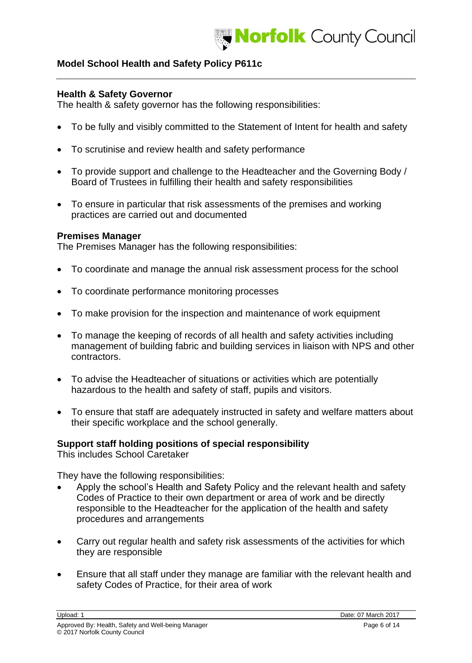

#### **Health & Safety Governor**

The health & safety governor has the following responsibilities:

- To be fully and visibly committed to the Statement of Intent for health and safety
- To scrutinise and review health and safety performance
- To provide support and challenge to the Headteacher and the Governing Body / Board of Trustees in fulfilling their health and safety responsibilities
- To ensure in particular that risk assessments of the premises and working practices are carried out and documented

#### **Premises Manager**

The Premises Manager has the following responsibilities:

- To coordinate and manage the annual risk assessment process for the school
- To coordinate performance monitoring processes
- To make provision for the inspection and maintenance of work equipment
- To manage the keeping of records of all health and safety activities including management of building fabric and building services in liaison with NPS and other contractors.
- To advise the Headteacher of situations or activities which are potentially hazardous to the health and safety of staff, pupils and visitors.
- To ensure that staff are adequately instructed in safety and welfare matters about their specific workplace and the school generally.

## **Support staff holding positions of special responsibility**

This includes School Caretaker

They have the following responsibilities:

- Apply the school's Health and Safety Policy and the relevant health and safety Codes of Practice to their own department or area of work and be directly responsible to the Headteacher for the application of the health and safety procedures and arrangements
- Carry out regular health and safety risk assessments of the activities for which they are responsible
- Ensure that all staff under they manage are familiar with the relevant health and safety Codes of Practice, for their area of work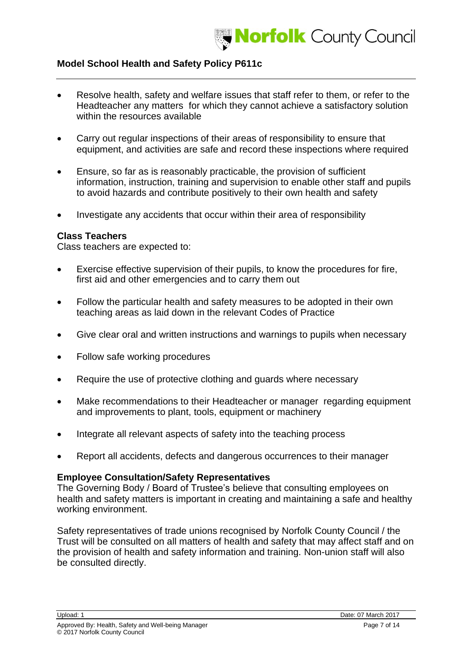

- Resolve health, safety and welfare issues that staff refer to them, or refer to the Headteacher any matters for which they cannot achieve a satisfactory solution within the resources available
- Carry out regular inspections of their areas of responsibility to ensure that equipment, and activities are safe and record these inspections where required
- Ensure, so far as is reasonably practicable, the provision of sufficient information, instruction, training and supervision to enable other staff and pupils to avoid hazards and contribute positively to their own health and safety
- Investigate any accidents that occur within their area of responsibility

#### **Class Teachers**

Class teachers are expected to:

- Exercise effective supervision of their pupils, to know the procedures for fire, first aid and other emergencies and to carry them out
- Follow the particular health and safety measures to be adopted in their own teaching areas as laid down in the relevant Codes of Practice
- Give clear oral and written instructions and warnings to pupils when necessary
- Follow safe working procedures
- Require the use of protective clothing and guards where necessary
- Make recommendations to their Headteacher or manager regarding equipment and improvements to plant, tools, equipment or machinery
- Integrate all relevant aspects of safety into the teaching process
- Report all accidents, defects and dangerous occurrences to their manager

## **Employee Consultation/Safety Representatives**

The Governing Body / Board of Trustee's believe that consulting employees on health and safety matters is important in creating and maintaining a safe and healthy working environment.

Safety representatives of trade unions recognised by Norfolk County Council / the Trust will be consulted on all matters of health and safety that may affect staff and on the provision of health and safety information and training. Non-union staff will also be consulted directly.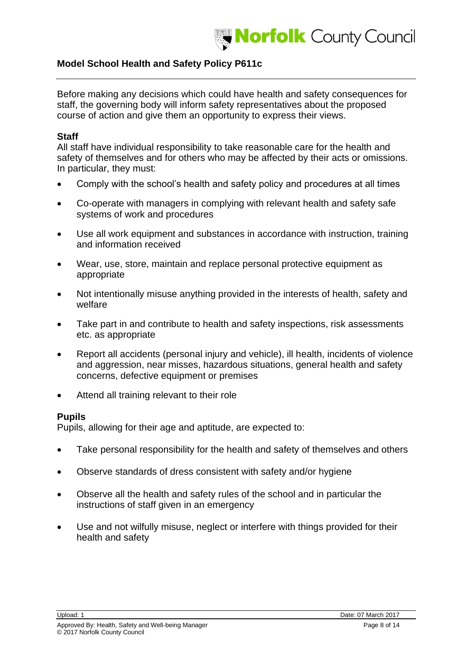

Before making any decisions which could have health and safety consequences for staff, the governing body will inform safety representatives about the proposed course of action and give them an opportunity to express their views.

#### **Staff**

All staff have individual responsibility to take reasonable care for the health and safety of themselves and for others who may be affected by their acts or omissions. In particular, they must:

- Comply with the school's health and safety policy and procedures at all times
- Co-operate with managers in complying with relevant health and safety safe systems of work and procedures
- Use all work equipment and substances in accordance with instruction, training and information received
- Wear, use, store, maintain and replace personal protective equipment as appropriate
- Not intentionally misuse anything provided in the interests of health, safety and welfare
- Take part in and contribute to health and safety inspections, risk assessments etc. as appropriate
- Report all accidents (personal injury and vehicle), ill health, incidents of violence and aggression, near misses, hazardous situations, general health and safety concerns, defective equipment or premises
- Attend all training relevant to their role

#### **Pupils**

Pupils, allowing for their age and aptitude, are expected to:

- Take personal responsibility for the health and safety of themselves and others
- Observe standards of dress consistent with safety and/or hygiene
- Observe all the health and safety rules of the school and in particular the instructions of staff given in an emergency
- Use and not wilfully misuse, neglect or interfere with things provided for their health and safety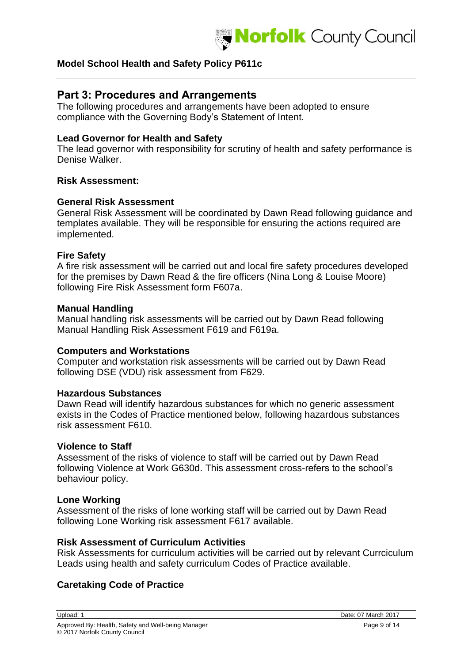

## **Part 3: Procedures and Arrangements**

The following procedures and arrangements have been adopted to ensure compliance with the Governing Body's Statement of Intent.

#### **Lead Governor for Health and Safety**

The lead governor with responsibility for scrutiny of health and safety performance is Denise Walker.

#### **Risk Assessment:**

#### **General Risk Assessment**

General Risk Assessment will be coordinated by Dawn Read following guidance and templates available. They will be responsible for ensuring the actions required are implemented.

#### **Fire Safety**

A fire risk assessment will be carried out and local fire safety procedures developed for the premises by Dawn Read & the fire officers (Nina Long & Louise Moore) following Fire Risk Assessment form F607a.

#### **Manual Handling**

Manual handling risk assessments will be carried out by Dawn Read following Manual Handling Risk Assessment F619 and F619a.

#### **Computers and Workstations**

Computer and workstation risk assessments will be carried out by Dawn Read following DSE (VDU) risk assessment from F629.

#### **Hazardous Substances**

Dawn Read will identify hazardous substances for which no generic assessment exists in the Codes of Practice mentioned below, following hazardous substances risk assessment F610.

#### **Violence to Staff**

Assessment of the risks of violence to staff will be carried out by Dawn Read following Violence at Work G630d. This assessment cross-refers to the school's behaviour policy.

#### **Lone Working**

Assessment of the risks of lone working staff will be carried out by Dawn Read following Lone Working risk assessment F617 available.

#### **Risk Assessment of Curriculum Activities**

Risk Assessments for curriculum activities will be carried out by relevant Currciculum Leads using health and safety curriculum Codes of Practice available.

## **Caretaking Code of Practice**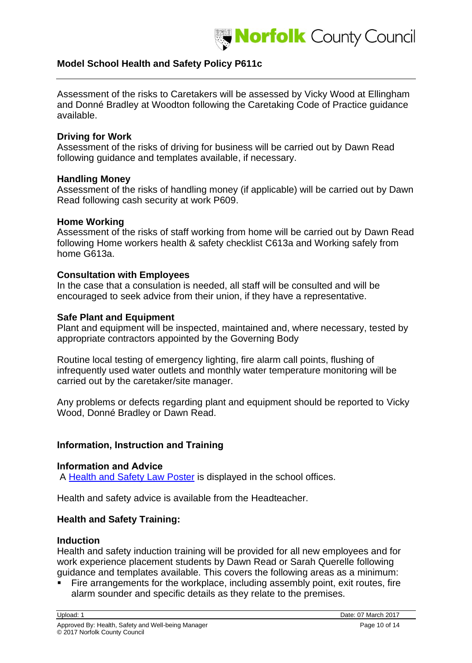

Assessment of the risks to Caretakers will be assessed by Vicky Wood at Ellingham and Donné Bradley at Woodton following the Caretaking Code of Practice guidance available.

#### **Driving for Work**

Assessment of the risks of driving for business will be carried out by Dawn Read following guidance and templates available, if necessary.

#### **Handling Money**

Assessment of the risks of handling money (if applicable) will be carried out by Dawn Read following cash security at work P609.

#### **Home Working**

Assessment of the risks of staff working from home will be carried out by Dawn Read following Home workers health & safety checklist C613a and Working safely from home G613a.

#### **Consultation with Employees**

In the case that a consulation is needed, all staff will be consulted and will be encouraged to seek advice from their union, if they have a representative.

#### **Safe Plant and Equipment**

Plant and equipment will be inspected, maintained and, where necessary, tested by appropriate contractors appointed by the Governing Body

Routine local testing of emergency lighting, fire alarm call points, flushing of infrequently used water outlets and monthly water temperature monitoring will be carried out by the caretaker/site manager.

Any problems or defects regarding plant and equipment should be reported to Vicky Wood, Donné Bradley or Dawn Read.

## **Information, Instruction and Training**

#### **Information and Advice**

A [Health and Safety Law Poster](http://www.hse.gov.uk/pubns/books/lawposter.htm) is displayed in the school offices.

Health and safety advice is available from the Headteacher.

## **Health and Safety Training:**

#### **Induction**

Health and safety induction training will be provided for all new employees and for work experience placement students by Dawn Read or Sarah Querelle following guidance and templates available. This covers the following areas as a minimum:

Fire arrangements for the workplace, including assembly point, exit routes, fire alarm sounder and specific details as they relate to the premises.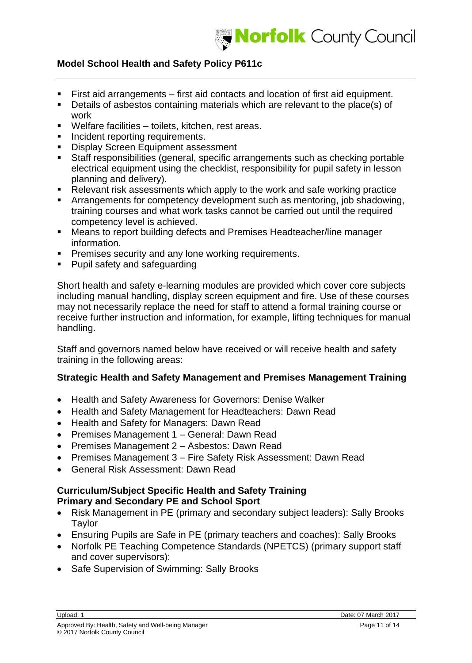

- First aid arrangements first aid contacts and location of first aid equipment.
- Details of asbestos containing materials which are relevant to the place(s) of work
- Welfare facilities toilets, kitchen, rest areas.
- **·** Incident reporting requirements.
- **EXECT:** Display Screen Equipment assessment
- Staff responsibilities (general, specific arrangements such as checking portable electrical equipment using the checklist, responsibility for pupil safety in lesson planning and delivery).
- Relevant risk assessments which apply to the work and safe working practice
- Arrangements for competency development such as mentoring, job shadowing, training courses and what work tasks cannot be carried out until the required competency level is achieved.
- Means to report building defects and Premises Headteacher/line manager information.
- **Premises security and any lone working requirements.**
- Pupil safety and safeguarding

Short health and safety e-learning modules are provided which cover core subjects including manual handling, display screen equipment and fire. Use of these courses may not necessarily replace the need for staff to attend a formal training course or receive further instruction and information, for example, lifting techniques for manual handling.

Staff and governors named below have received or will receive health and safety training in the following areas:

## **Strategic Health and Safety Management and Premises Management Training**

- Health and Safety Awareness for Governors: Denise Walker
- Health and Safety Management for Headteachers: Dawn Read
- Health and Safety for Managers: Dawn Read
- Premises Management 1 General: Dawn Read
- Premises Management 2 Asbestos: Dawn Read
- Premises Management 3 Fire Safety Risk Assessment: Dawn Read
- General Risk Assessment: Dawn Read

## **Curriculum/Subject Specific Health and Safety Training Primary and Secondary PE and School Sport**

- Risk Management in PE (primary and secondary subject leaders): Sally Brooks Taylor
- Ensuring Pupils are Safe in PE (primary teachers and coaches): Sally Brooks
- Norfolk PE Teaching Competence Standards (NPETCS) (primary support staff and cover supervisors):
- Safe Supervision of Swimming: Sally Brooks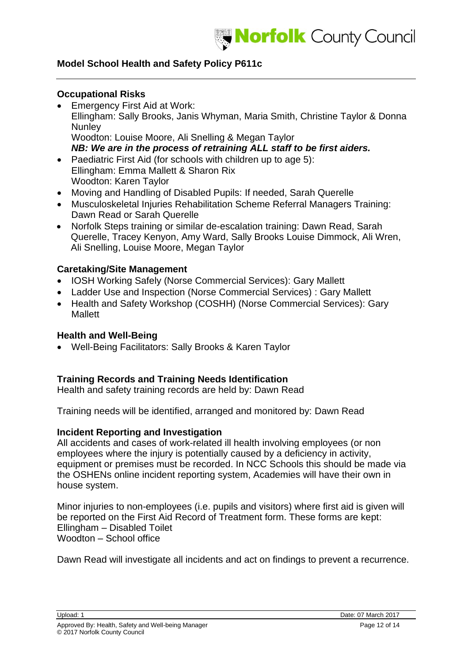

#### **Occupational Risks**

- Emergency First Aid at Work: Ellingham: Sally Brooks, Janis Whyman, Maria Smith, Christine Taylor & Donna **Nunlev** Woodton: Louise Moore, Ali Snelling & Megan Taylor *NB: We are in the process of retraining ALL staff to be first aiders.*
- Paediatric First Aid (for schools with children up to age 5): Ellingham: Emma Mallett & Sharon Rix Woodton: Karen Taylor
- Moving and Handling of Disabled Pupils: If needed, Sarah Querelle
- Musculoskeletal Injuries Rehabilitation Scheme Referral Managers Training: Dawn Read or Sarah Querelle
- Norfolk Steps training or similar de-escalation training: Dawn Read, Sarah Querelle, Tracey Kenyon, Amy Ward, Sally Brooks Louise Dimmock, Ali Wren, Ali Snelling, Louise Moore, Megan Taylor

#### **Caretaking/Site Management**

- IOSH Working Safely (Norse Commercial Services): Gary Mallett
- Ladder Use and Inspection (Norse Commercial Services) : Gary Mallett
- Health and Safety Workshop (COSHH) (Norse Commercial Services): Gary **Mallett**

#### **Health and Well-Being**

• Well-Being Facilitators: Sally Brooks & Karen Taylor

## **Training Records and Training Needs Identification**

Health and safety training records are held by: Dawn Read

Training needs will be identified, arranged and monitored by: Dawn Read

#### **Incident Reporting and Investigation**

All accidents and cases of work-related ill health involving employees (or non employees where the injury is potentially caused by a deficiency in activity, equipment or premises must be recorded. In NCC Schools this should be made via the OSHENs online incident reporting system, Academies will have their own in house system.

Minor injuries to non-employees (i.e. pupils and visitors) where first aid is given will be reported on the First Aid Record of Treatment form. These forms are kept: Ellingham – Disabled Toilet Woodton – School office

Dawn Read will investigate all incidents and act on findings to prevent a recurrence.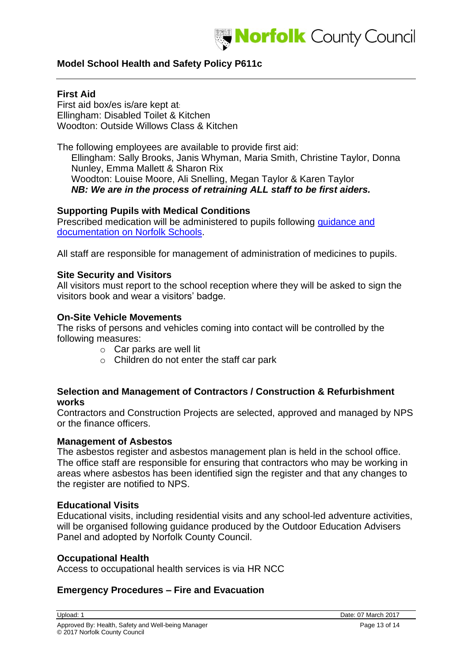

## **First Aid**

First aid box/es is/are kept at: Ellingham: Disabled Toilet & Kitchen Woodton: Outside Willows Class & Kitchen

The following employees are available to provide first aid: Ellingham: Sally Brooks, Janis Whyman, Maria Smith, Christine Taylor, Donna Nunley, Emma Mallett & Sharon Rix Woodton: Louise Moore, Ali Snelling, Megan Taylor & Karen Taylor *NB: We are in the process of retraining ALL staff to be first aiders.*

#### **Supporting Pupils with Medical Conditions**

Prescribed medication will be administered to pupils following [guidance and](http://www.schools.norfolk.gov.uk/Pupil-needs/Health/index.htm)  [documentation on](http://www.schools.norfolk.gov.uk/Pupil-needs/Health/index.htm) Norfolk Schools.

All staff are responsible for management of administration of medicines to pupils.

#### **Site Security and Visitors**

All visitors must report to the school reception where they will be asked to sign the visitors book and wear a visitors' badge.

#### **On-Site Vehicle Movements**

The risks of persons and vehicles coming into contact will be controlled by the following measures:

- o Car parks are well lit
- o Children do not enter the staff car park

## **Selection and Management of Contractors / Construction & Refurbishment works**

Contractors and Construction Projects are selected, approved and managed by NPS or the finance officers.

#### **Management of Asbestos**

The asbestos register and asbestos management plan is held in the school office. The office staff are responsible for ensuring that contractors who may be working in areas where asbestos has been identified sign the register and that any changes to the register are notified to NPS.

## **Educational Visits**

Educational visits, including residential visits and any school-led adventure activities, will be organised following guidance produced by the Outdoor Education Advisers Panel and adopted by Norfolk County Council.

## **Occupational Health**

Access to occupational health services is via HR NCC

## **Emergency Procedures – Fire and Evacuation**